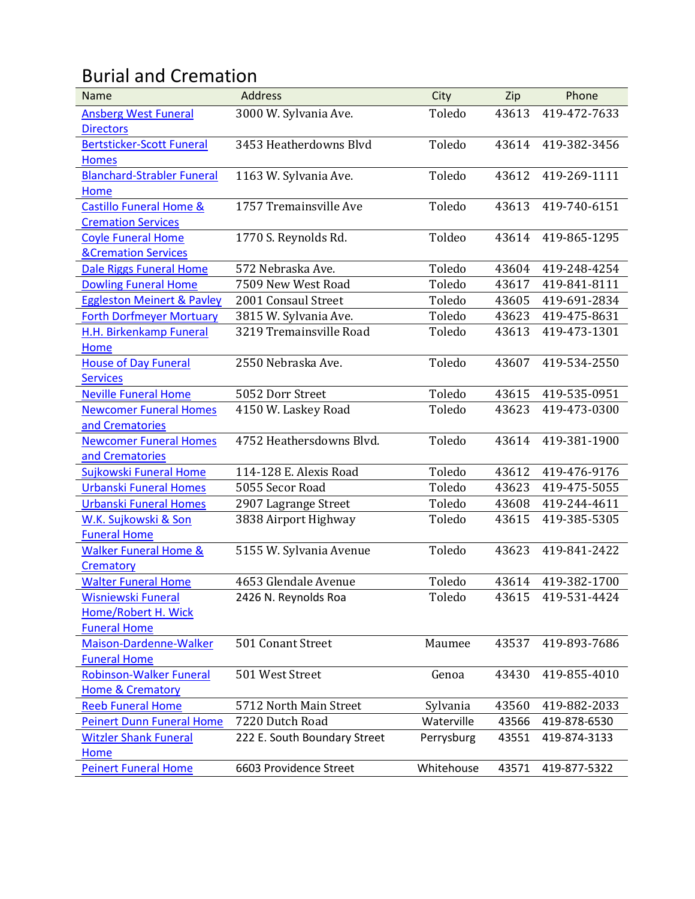## Burial and Cremation

| Name                                  | <b>Address</b>               | City       | Zip   | Phone              |
|---------------------------------------|------------------------------|------------|-------|--------------------|
| <b>Ansberg West Funeral</b>           | 3000 W. Sylvania Ave.        | Toledo     | 43613 | 419-472-7633       |
| <b>Directors</b>                      |                              |            |       |                    |
| <b>Bertsticker-Scott Funeral</b>      | 3453 Heatherdowns Blvd       | Toledo     | 43614 | 419-382-3456       |
| <b>Homes</b>                          |                              |            |       |                    |
| <b>Blanchard-Strabler Funeral</b>     | 1163 W. Sylvania Ave.        | Toledo     | 43612 | 419-269-1111       |
| Home                                  |                              |            |       |                    |
| <b>Castillo Funeral Home &amp;</b>    | 1757 Tremainsville Ave       | Toledo     | 43613 | 419-740-6151       |
| <b>Cremation Services</b>             |                              |            |       |                    |
| <b>Coyle Funeral Home</b>             | 1770 S. Reynolds Rd.         | Toldeo     | 43614 | 419-865-1295       |
| <b>&amp;Cremation Services</b>        |                              |            |       |                    |
| Dale Riggs Funeral Home               | 572 Nebraska Ave.            | Toledo     | 43604 | 419-248-4254       |
| <b>Dowling Funeral Home</b>           | 7509 New West Road           | Toledo     | 43617 | 419-841-8111       |
| <b>Eggleston Meinert &amp; Pavley</b> | 2001 Consaul Street          | Toledo     | 43605 | 419-691-2834       |
| <b>Forth Dorfmeyer Mortuary</b>       | 3815 W. Sylvania Ave.        | Toledo     | 43623 | 419-475-8631       |
| H.H. Birkenkamp Funeral               | 3219 Tremainsville Road      | Toledo     | 43613 | 419-473-1301       |
| Home                                  |                              |            |       |                    |
| <b>House of Day Funeral</b>           | 2550 Nebraska Ave.           | Toledo     | 43607 | 419-534-2550       |
| <b>Services</b>                       |                              |            |       |                    |
| <b>Neville Funeral Home</b>           | 5052 Dorr Street             | Toledo     | 43615 | 419-535-0951       |
| <b>Newcomer Funeral Homes</b>         | 4150 W. Laskey Road          | Toledo     | 43623 | 419-473-0300       |
| and Crematories                       |                              |            |       |                    |
| <b>Newcomer Funeral Homes</b>         | 4752 Heathersdowns Blvd.     | Toledo     | 43614 | 419-381-1900       |
| and Crematories                       |                              |            |       |                    |
| Sujkowski Funeral Home                | 114-128 E. Alexis Road       | Toledo     | 43612 | 419-476-9176       |
| <b>Urbanski Funeral Homes</b>         | 5055 Secor Road              | Toledo     | 43623 | 419-475-5055       |
| <b>Urbanski Funeral Homes</b>         | 2907 Lagrange Street         | Toledo     | 43608 | 419-244-4611       |
| W.K. Sujkowski & Son                  | 3838 Airport Highway         | Toledo     | 43615 | 419-385-5305       |
| <b>Funeral Home</b>                   |                              |            |       |                    |
| <b>Walker Funeral Home &amp;</b>      | 5155 W. Sylvania Avenue      | Toledo     | 43623 | 419-841-2422       |
| Crematory                             |                              |            |       |                    |
| <b>Walter Funeral Home</b>            | 4653 Glendale Avenue         | Toledo     | 43614 | 419-382-1700       |
| Wisniewski Funeral                    | 2426 N. Reynolds Roa         | Toledo     |       | 43615 419-531-4424 |
| Home/Robert H. Wick                   |                              |            |       |                    |
| <b>Funeral Home</b>                   |                              |            |       |                    |
| Maison-Dardenne-Walker                | 501 Conant Street            | Maumee     | 43537 | 419-893-7686       |
| <b>Funeral Home</b>                   |                              |            |       |                    |
| <b>Robinson-Walker Funeral</b>        | 501 West Street              | Genoa      | 43430 | 419-855-4010       |
| <b>Home &amp; Crematory</b>           |                              |            |       |                    |
| <b>Reeb Funeral Home</b>              | 5712 North Main Street       | Sylvania   | 43560 | 419-882-2033       |
| <b>Peinert Dunn Funeral Home</b>      | 7220 Dutch Road              | Waterville | 43566 | 419-878-6530       |
| <b>Witzler Shank Funeral</b>          | 222 E. South Boundary Street | Perrysburg | 43551 | 419-874-3133       |
| Home                                  |                              |            |       |                    |
| <b>Peinert Funeral Home</b>           | 6603 Providence Street       | Whitehouse | 43571 | 419-877-5322       |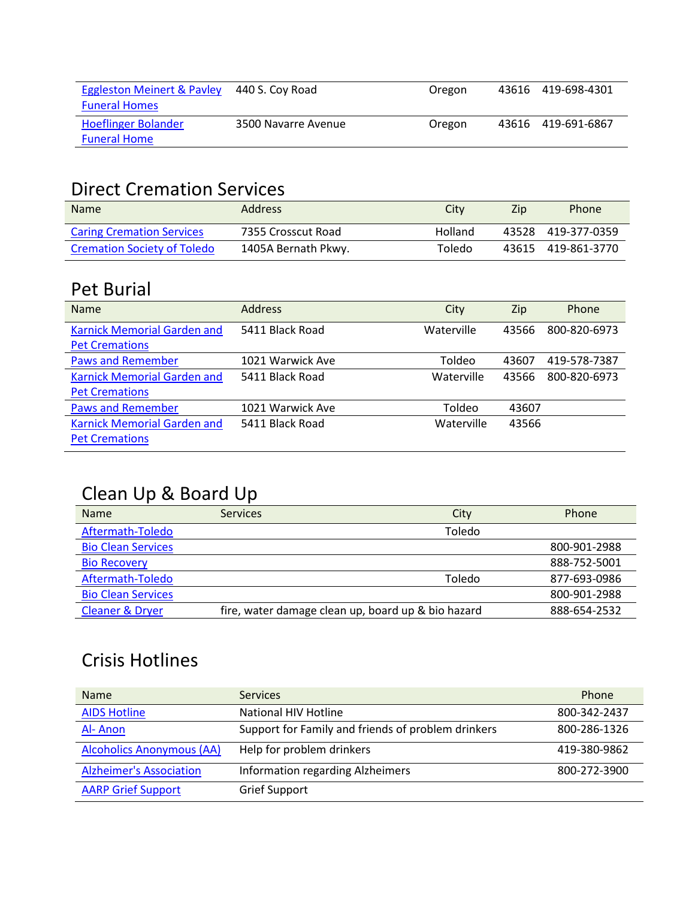| <b>Eggleston Meinert &amp; Payley</b><br><b>Funeral Homes</b> | 440 S. Coy Road     | Oregon | 43616 419-698-4301 |
|---------------------------------------------------------------|---------------------|--------|--------------------|
| <b>Hoeflinger Bolander</b><br><b>Funeral Home</b>             | 3500 Navarre Avenue | Oregon | 43616 419-691-6867 |

#### Direct Cremation Services

| <b>Name</b>                        | <b>Address</b>      | Citv    | Zip | Phone              |
|------------------------------------|---------------------|---------|-----|--------------------|
| <b>Caring Cremation Services</b>   | 7355 Crosscut Road  | Holland |     | 43528 419-377-0359 |
| <b>Cremation Society of Toledo</b> | 1405A Bernath Pkwy. | Toledo  |     | 43615 419-861-3770 |

#### Pet Burial

| <b>Name</b>                        | <b>Address</b>   | City       | Zip   | Phone        |
|------------------------------------|------------------|------------|-------|--------------|
| <b>Karnick Memorial Garden and</b> | 5411 Black Road  | Waterville | 43566 | 800-820-6973 |
| <b>Pet Cremations</b>              |                  |            |       |              |
| <b>Paws and Remember</b>           | 1021 Warwick Ave | Toldeo     | 43607 | 419-578-7387 |
| <b>Karnick Memorial Garden and</b> | 5411 Black Road  | Waterville | 43566 | 800-820-6973 |
| <b>Pet Cremations</b>              |                  |            |       |              |
| <b>Paws and Remember</b>           | 1021 Warwick Ave | Toldeo     | 43607 |              |
| <b>Karnick Memorial Garden and</b> | 5411 Black Road  | Waterville | 43566 |              |
| <b>Pet Cremations</b>              |                  |            |       |              |

## Clean Up & Board Up

| <b>Name</b>                | <b>Services</b>                                    | City   | Phone        |
|----------------------------|----------------------------------------------------|--------|--------------|
| Aftermath-Toledo           |                                                    | Toledo |              |
| <b>Bio Clean Services</b>  |                                                    |        | 800-901-2988 |
| <b>Bio Recovery</b>        |                                                    |        | 888-752-5001 |
| Aftermath-Toledo           |                                                    | Toledo | 877-693-0986 |
| <b>Bio Clean Services</b>  |                                                    |        | 800-901-2988 |
| <b>Cleaner &amp; Dryer</b> | fire, water damage clean up, board up & bio hazard |        | 888-654-2532 |

### Crisis Hotlines

| <b>Name</b>                      | <b>Services</b>                                    | Phone        |
|----------------------------------|----------------------------------------------------|--------------|
| <b>AIDS Hotline</b>              | <b>National HIV Hotline</b>                        | 800-342-2437 |
| Al-Anon                          | Support for Family and friends of problem drinkers | 800-286-1326 |
| <b>Alcoholics Anonymous (AA)</b> | Help for problem drinkers                          | 419-380-9862 |
| <b>Alzheimer's Association</b>   | Information regarding Alzheimers                   | 800-272-3900 |
| <b>AARP Grief Support</b>        | <b>Grief Support</b>                               |              |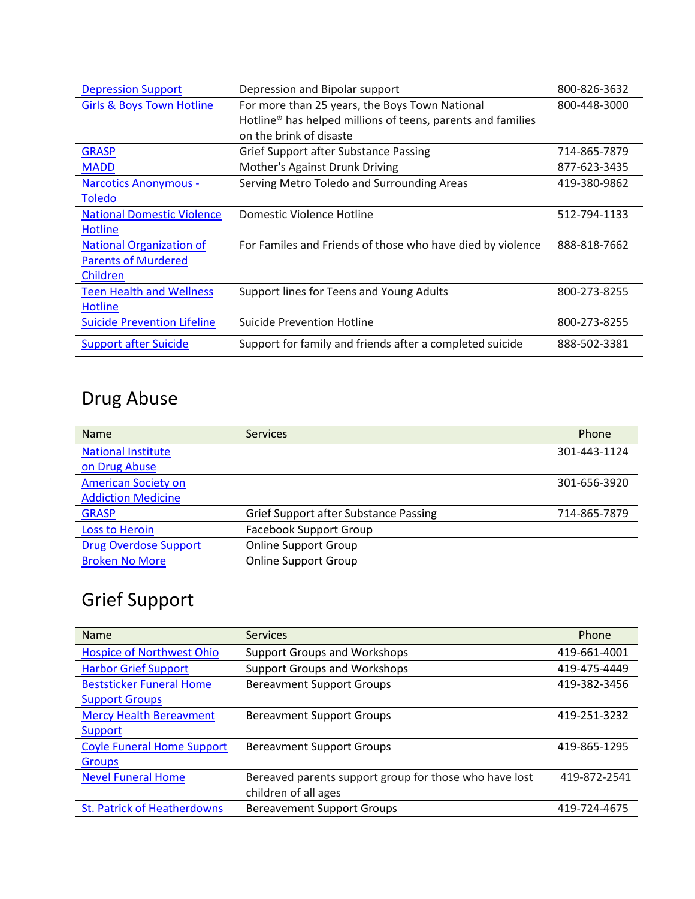| <b>Depression Support</b>            | Depression and Bipolar support                                          | 800-826-3632 |
|--------------------------------------|-------------------------------------------------------------------------|--------------|
| <b>Girls &amp; Boys Town Hotline</b> | For more than 25 years, the Boys Town National                          | 800-448-3000 |
|                                      | Hotline <sup>®</sup> has helped millions of teens, parents and families |              |
|                                      | on the brink of disaste                                                 |              |
| <b>GRASP</b>                         | Grief Support after Substance Passing                                   | 714-865-7879 |
| <b>MADD</b>                          | Mother's Against Drunk Driving                                          | 877-623-3435 |
| <b>Narcotics Anonymous -</b>         | Serving Metro Toledo and Surrounding Areas                              | 419-380-9862 |
| <b>Toledo</b>                        |                                                                         |              |
| <b>National Domestic Violence</b>    | Domestic Violence Hotline                                               | 512-794-1133 |
| <b>Hotline</b>                       |                                                                         |              |
| <b>National Organization of</b>      | For Familes and Friends of those who have died by violence              | 888-818-7662 |
| <b>Parents of Murdered</b>           |                                                                         |              |
| Children                             |                                                                         |              |
| <b>Teen Health and Wellness</b>      | Support lines for Teens and Young Adults                                | 800-273-8255 |
| Hotline                              |                                                                         |              |
| <b>Suicide Prevention Lifeline</b>   | Suicide Prevention Hotline                                              | 800-273-8255 |
| <b>Support after Suicide</b>         | Support for family and friends after a completed suicide                | 888-502-3381 |

# Drug Abuse

| <b>Name</b>                  | <b>Services</b>                              | Phone        |
|------------------------------|----------------------------------------------|--------------|
| <b>National Institute</b>    |                                              | 301-443-1124 |
| on Drug Abuse                |                                              |              |
| <b>American Society on</b>   |                                              | 301-656-3920 |
| <b>Addiction Medicine</b>    |                                              |              |
| <b>GRASP</b>                 | <b>Grief Support after Substance Passing</b> | 714-865-7879 |
| <b>Loss to Heroin</b>        | <b>Facebook Support Group</b>                |              |
| <b>Drug Overdose Support</b> | <b>Online Support Group</b>                  |              |
| <b>Broken No More</b>        | <b>Online Support Group</b>                  |              |

## Grief Support

| <b>Name</b>                        | <b>Services</b>                                        | Phone        |
|------------------------------------|--------------------------------------------------------|--------------|
| <b>Hospice of Northwest Ohio</b>   | <b>Support Groups and Workshops</b>                    | 419-661-4001 |
| <b>Harbor Grief Support</b>        | <b>Support Groups and Workshops</b>                    | 419-475-4449 |
| <b>Beststicker Funeral Home</b>    | <b>Bereavment Support Groups</b>                       | 419-382-3456 |
| <b>Support Groups</b>              |                                                        |              |
| <b>Mercy Health Bereavment</b>     | <b>Bereavment Support Groups</b>                       | 419-251-3232 |
| Support                            |                                                        |              |
| <b>Coyle Funeral Home Support</b>  | <b>Bereavment Support Groups</b>                       | 419-865-1295 |
| Groups                             |                                                        |              |
| <b>Nevel Funeral Home</b>          | Bereaved parents support group for those who have lost | 419-872-2541 |
|                                    | children of all ages                                   |              |
| <b>St. Patrick of Heatherdowns</b> | <b>Bereavement Support Groups</b>                      | 419-724-4675 |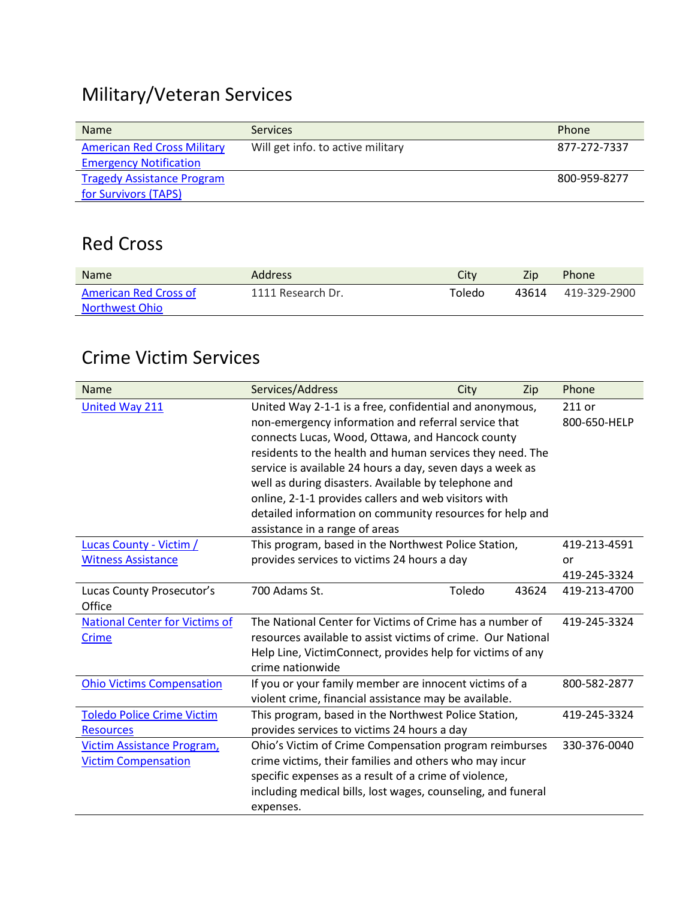## Military/Veteran Services

| <b>Name</b>                        | <b>Services</b>                   | Phone        |
|------------------------------------|-----------------------------------|--------------|
| <b>American Red Cross Military</b> | Will get info. to active military | 877-272-7337 |
| <b>Emergency Notification</b>      |                                   |              |
| <b>Tragedy Assistance Program</b>  |                                   | 800-959-8277 |
| for Survivors (TAPS)               |                                   |              |

#### Red Cross

| <b>Name</b>           | <b>Address</b>    | Citv   | Zip   | <b>Phone</b> |
|-----------------------|-------------------|--------|-------|--------------|
| American Red Cross of | 1111 Research Dr. | Toledo | 43614 | 419-329-2900 |
| <b>Northwest Ohio</b> |                   |        |       |              |

#### Crime Victim Services

| <b>Name</b>                           | Services/Address                                             | City   | Zip   | Phone        |
|---------------------------------------|--------------------------------------------------------------|--------|-------|--------------|
| <b>United Way 211</b>                 | United Way 2-1-1 is a free, confidential and anonymous,      |        |       | 211 or       |
|                                       | non-emergency information and referral service that          |        |       | 800-650-HELP |
|                                       | connects Lucas, Wood, Ottawa, and Hancock county             |        |       |              |
|                                       | residents to the health and human services they need. The    |        |       |              |
|                                       | service is available 24 hours a day, seven days a week as    |        |       |              |
|                                       | well as during disasters. Available by telephone and         |        |       |              |
|                                       | online, 2-1-1 provides callers and web visitors with         |        |       |              |
|                                       | detailed information on community resources for help and     |        |       |              |
|                                       | assistance in a range of areas                               |        |       |              |
| <b>Lucas County - Victim /</b>        | This program, based in the Northwest Police Station,         |        |       | 419-213-4591 |
| <b>Witness Assistance</b>             | provides services to victims 24 hours a day                  |        |       | or           |
|                                       |                                                              |        |       | 419-245-3324 |
| Lucas County Prosecutor's             | 700 Adams St.                                                | Toledo | 43624 | 419-213-4700 |
| Office                                |                                                              |        |       |              |
| <b>National Center for Victims of</b> | The National Center for Victims of Crime has a number of     |        |       | 419-245-3324 |
| <b>Crime</b>                          | resources available to assist victims of crime. Our National |        |       |              |
|                                       | Help Line, VictimConnect, provides help for victims of any   |        |       |              |
|                                       | crime nationwide                                             |        |       |              |
| <b>Ohio Victims Compensation</b>      | If you or your family member are innocent victims of a       |        |       | 800-582-2877 |
|                                       | violent crime, financial assistance may be available.        |        |       |              |
| <b>Toledo Police Crime Victim</b>     | This program, based in the Northwest Police Station,         |        |       | 419-245-3324 |
| <b>Resources</b>                      | provides services to victims 24 hours a day                  |        |       |              |
| Victim Assistance Program,            | Ohio's Victim of Crime Compensation program reimburses       |        |       | 330-376-0040 |
| <b>Victim Compensation</b>            | crime victims, their families and others who may incur       |        |       |              |
|                                       | specific expenses as a result of a crime of violence,        |        |       |              |
|                                       | including medical bills, lost wages, counseling, and funeral |        |       |              |
|                                       | expenses.                                                    |        |       |              |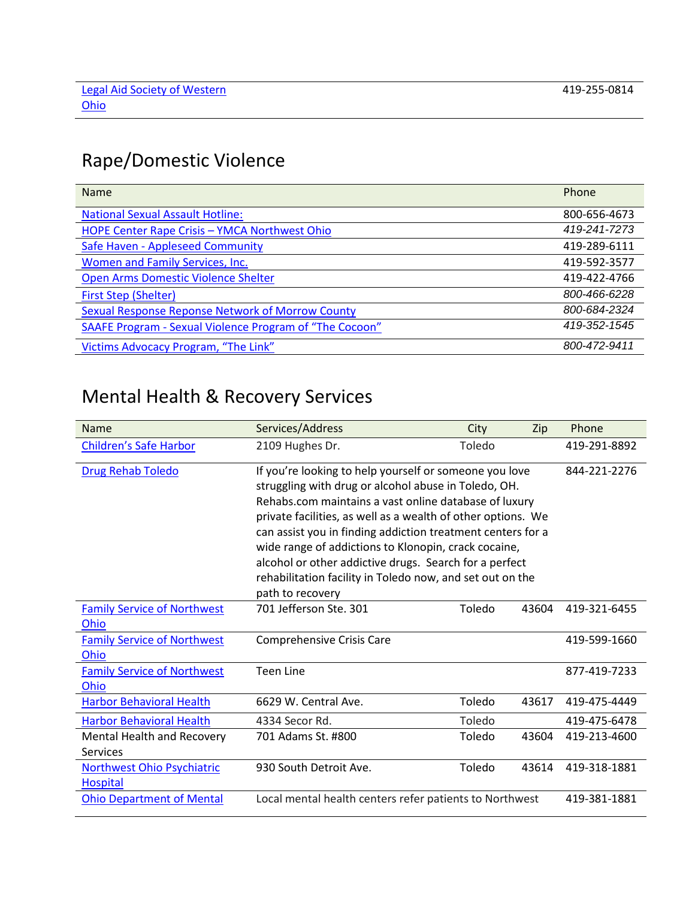## Rape/Domestic Violence

| <b>Name</b>                                             | Phone        |
|---------------------------------------------------------|--------------|
| <b>National Sexual Assault Hotline:</b>                 | 800-656-4673 |
| HOPE Center Rape Crisis - YMCA Northwest Ohio           | 419-241-7273 |
| Safe Haven - Appleseed Community                        | 419-289-6111 |
| Women and Family Services, Inc.                         | 419-592-3577 |
| Open Arms Domestic Violence Shelter                     | 419-422-4766 |
| <b>First Step (Shelter)</b>                             | 800-466-6228 |
| <b>Sexual Response Reponse Network of Morrow County</b> | 800-684-2324 |
| SAAFE Program - Sexual Violence Program of "The Cocoon" | 419-352-1545 |
| Victims Advocacy Program, "The Link"                    | 800-472-9411 |

## Mental Health & Recovery Services

| Name                                                 | Services/Address                                                                                                                                                                                                                                                                                                                                                                                                                                                                                          | City   | Zip          | Phone        |
|------------------------------------------------------|-----------------------------------------------------------------------------------------------------------------------------------------------------------------------------------------------------------------------------------------------------------------------------------------------------------------------------------------------------------------------------------------------------------------------------------------------------------------------------------------------------------|--------|--------------|--------------|
| <b>Children's Safe Harbor</b>                        | 2109 Hughes Dr.                                                                                                                                                                                                                                                                                                                                                                                                                                                                                           | Toledo |              | 419-291-8892 |
| <b>Drug Rehab Toledo</b>                             | If you're looking to help yourself or someone you love<br>struggling with drug or alcohol abuse in Toledo, OH.<br>Rehabs.com maintains a vast online database of luxury<br>private facilities, as well as a wealth of other options. We<br>can assist you in finding addiction treatment centers for a<br>wide range of addictions to Klonopin, crack cocaine,<br>alcohol or other addictive drugs. Search for a perfect<br>rehabilitation facility in Toledo now, and set out on the<br>path to recovery |        |              | 844-221-2276 |
| <b>Family Service of Northwest</b><br>Ohio           | 701 Jefferson Ste. 301                                                                                                                                                                                                                                                                                                                                                                                                                                                                                    | Toledo | 43604        | 419-321-6455 |
| <b>Family Service of Northwest</b><br>Ohio           | <b>Comprehensive Crisis Care</b>                                                                                                                                                                                                                                                                                                                                                                                                                                                                          |        |              | 419-599-1660 |
| <b>Family Service of Northwest</b><br>Ohio           | <b>Teen Line</b>                                                                                                                                                                                                                                                                                                                                                                                                                                                                                          |        |              | 877-419-7233 |
| <b>Harbor Behavioral Health</b>                      | 6629 W. Central Ave.                                                                                                                                                                                                                                                                                                                                                                                                                                                                                      | Toledo | 43617        | 419-475-4449 |
| <b>Harbor Behavioral Health</b>                      | 4334 Secor Rd.                                                                                                                                                                                                                                                                                                                                                                                                                                                                                            | Toledo |              | 419-475-6478 |
| Mental Health and Recovery<br>Services               | 701 Adams St. #800                                                                                                                                                                                                                                                                                                                                                                                                                                                                                        | Toledo | 43604        | 419-213-4600 |
| <b>Northwest Ohio Psychiatric</b><br><b>Hospital</b> | 930 South Detroit Ave.                                                                                                                                                                                                                                                                                                                                                                                                                                                                                    | Toledo | 43614        | 419-318-1881 |
| <b>Ohio Department of Mental</b>                     | Local mental health centers refer patients to Northwest                                                                                                                                                                                                                                                                                                                                                                                                                                                   |        | 419-381-1881 |              |